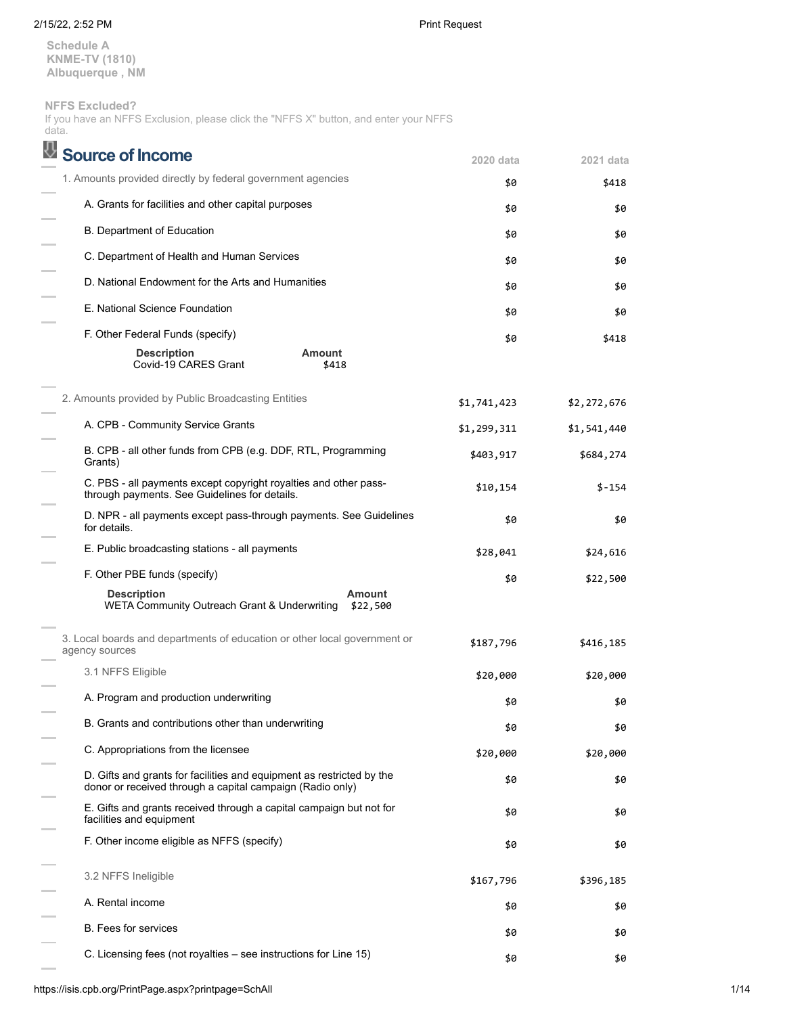### 2/15/22, 2:52 PM Print Request

**Schedule A KNME-TV (1810) Albuquerque , NM**

**NFFS Excluded?**

If you have an NFFS Exclusion, please click the "NFFS X" button, and enter your NFFS data.

| <b>Source of Income</b>                                                                                                            | 2020 data   | 2021 data   |
|------------------------------------------------------------------------------------------------------------------------------------|-------------|-------------|
| 1. Amounts provided directly by federal government agencies                                                                        | \$0         | \$418       |
| A. Grants for facilities and other capital purposes                                                                                | \$0         | \$0         |
| <b>B. Department of Education</b>                                                                                                  | \$0         | \$0         |
| C. Department of Health and Human Services                                                                                         | \$0         | \$0         |
| D. National Endowment for the Arts and Humanities                                                                                  | \$0         | \$0         |
| E. National Science Foundation                                                                                                     | \$0         | \$0         |
| F. Other Federal Funds (specify)                                                                                                   | \$0         | \$418       |
| <b>Amount</b><br><b>Description</b><br>Covid-19 CARES Grant<br>\$418                                                               |             |             |
| 2. Amounts provided by Public Broadcasting Entities                                                                                | \$1,741,423 | \$2,272,676 |
| A. CPB - Community Service Grants                                                                                                  | \$1,299,311 | \$1,541,440 |
| B. CPB - all other funds from CPB (e.g. DDF, RTL, Programming<br>Grants)                                                           | \$403,917   | \$684,274   |
| C. PBS - all payments except copyright royalties and other pass-<br>through payments. See Guidelines for details.                  | \$10,154    | \$-154      |
| D. NPR - all payments except pass-through payments. See Guidelines<br>for details.                                                 | \$0         | \$0         |
| E. Public broadcasting stations - all payments                                                                                     | \$28,041    | \$24,616    |
| F. Other PBE funds (specify)                                                                                                       | \$0         | \$22,500    |
| <b>Description</b><br><b>Amount</b><br>WETA Community Outreach Grant & Underwriting<br>\$22,500                                    |             |             |
| 3. Local boards and departments of education or other local government or<br>agency sources                                        | \$187,796   | \$416,185   |
| 3.1 NFFS Eligible                                                                                                                  | \$20,000    | \$20,000    |
| A. Program and production underwriting                                                                                             | \$0         | \$0         |
| B. Grants and contributions other than underwriting                                                                                | \$0         | \$0         |
| C. Appropriations from the licensee                                                                                                | \$20,000    | \$20,000    |
| D. Gifts and grants for facilities and equipment as restricted by the<br>donor or received through a capital campaign (Radio only) | \$0         | \$0         |
| E. Gifts and grants received through a capital campaign but not for<br>facilities and equipment                                    | \$0         | \$0         |
| F. Other income eligible as NFFS (specify)                                                                                         | \$0         | \$0         |
| 3.2 NFFS Ineligible                                                                                                                | \$167,796   | \$396,185   |
| A. Rental income                                                                                                                   | \$0         | \$0         |
| <b>B.</b> Fees for services                                                                                                        | \$0         | \$0         |
| C. Licensing fees (not royalties – see instructions for Line 15)                                                                   | \$0         | \$0         |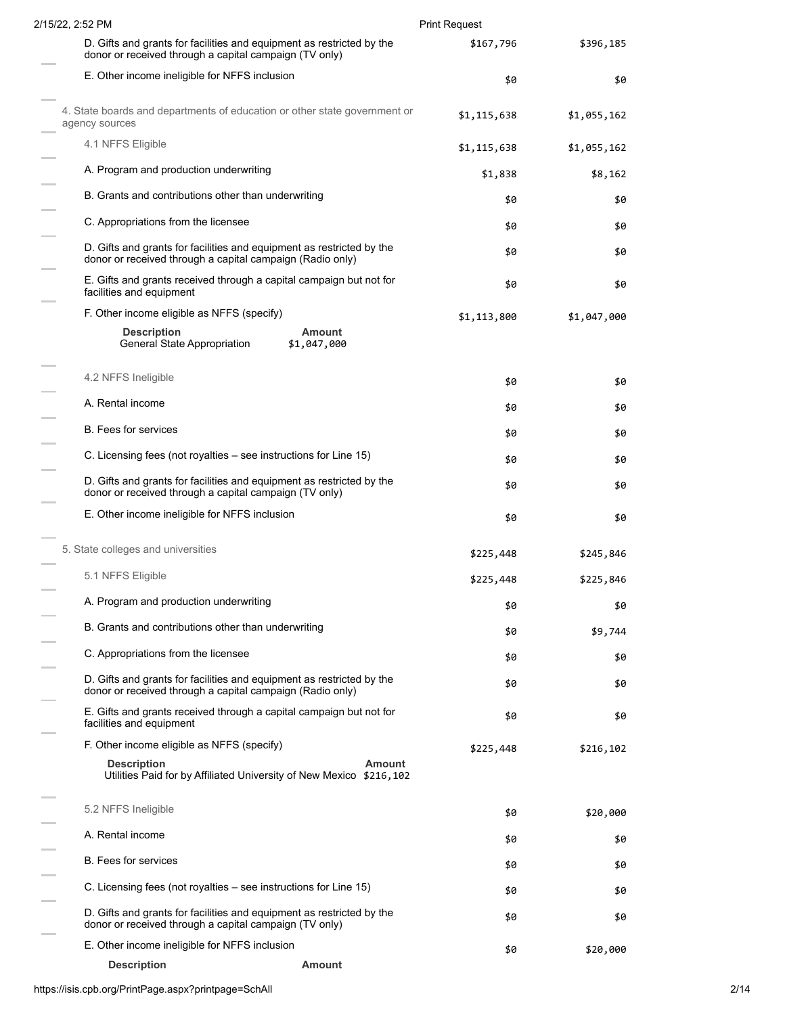| 2/15/22, 2:52 PM                                                                                                                   | <b>Print Request</b> |             |
|------------------------------------------------------------------------------------------------------------------------------------|----------------------|-------------|
| D. Gifts and grants for facilities and equipment as restricted by the<br>donor or received through a capital campaign (TV only)    | \$167,796            | \$396,185   |
| E. Other income ineligible for NFFS inclusion                                                                                      | \$0                  | \$0         |
| 4. State boards and departments of education or other state government or<br>agency sources                                        | \$1,115,638          | \$1,055,162 |
| 4.1 NFFS Eligible                                                                                                                  | \$1,115,638          | \$1,055,162 |
| A. Program and production underwriting                                                                                             | \$1,838              | \$8,162     |
| B. Grants and contributions other than underwriting                                                                                | \$0                  | \$0         |
| C. Appropriations from the licensee                                                                                                | \$0                  | \$0         |
| D. Gifts and grants for facilities and equipment as restricted by the<br>donor or received through a capital campaign (Radio only) | \$0                  | \$0         |
| E. Gifts and grants received through a capital campaign but not for<br>facilities and equipment                                    | \$0                  | \$0         |
| F. Other income eligible as NFFS (specify)                                                                                         | \$1,113,800          | \$1,047,000 |
| <b>Description</b><br>Amount<br>General State Appropriation<br>\$1,047,000                                                         |                      |             |
| 4.2 NFFS Ineligible                                                                                                                | \$0                  | \$0         |
| A. Rental income                                                                                                                   | \$0                  | \$0         |
| <b>B.</b> Fees for services                                                                                                        | \$0                  | \$0         |
| C. Licensing fees (not royalties – see instructions for Line 15)                                                                   | \$0                  | \$0         |
| D. Gifts and grants for facilities and equipment as restricted by the<br>donor or received through a capital campaign (TV only)    | \$0                  | \$0         |
| E. Other income ineligible for NFFS inclusion                                                                                      | \$0                  | \$0         |
| 5. State colleges and universities                                                                                                 | \$225,448            | \$245,846   |
| 5.1 NFFS Eligible                                                                                                                  | \$225,448            | \$225,846   |
| A. Program and production underwriting                                                                                             | \$0                  | \$0         |
| B. Grants and contributions other than underwriting                                                                                | \$0                  | \$9,744     |
| C. Appropriations from the licensee                                                                                                | \$0                  | \$0         |
| D. Gifts and grants for facilities and equipment as restricted by the                                                              | \$0                  | \$0         |
| donor or received through a capital campaign (Radio only)<br>E. Gifts and grants received through a capital campaign but not for   |                      |             |
| facilities and equipment                                                                                                           | \$0                  | \$0         |
| F. Other income eligible as NFFS (specify)                                                                                         | \$225,448            | \$216,102   |
| <b>Description</b><br><b>Amount</b><br>Utilities Paid for by Affiliated University of New Mexico \$216,102                         |                      |             |
| 5.2 NFFS Ineligible                                                                                                                | \$0                  | \$20,000    |
| A. Rental income                                                                                                                   | \$0                  | \$0         |
| <b>B.</b> Fees for services                                                                                                        | \$0                  | \$0         |
| C. Licensing fees (not royalties – see instructions for Line 15)                                                                   | \$0                  | \$0         |
| D. Gifts and grants for facilities and equipment as restricted by the<br>donor or received through a capital campaign (TV only)    | \$0                  | \$0         |
| E. Other income ineligible for NFFS inclusion                                                                                      | \$0                  | \$20,000    |
| <b>Description</b><br><b>Amount</b>                                                                                                |                      |             |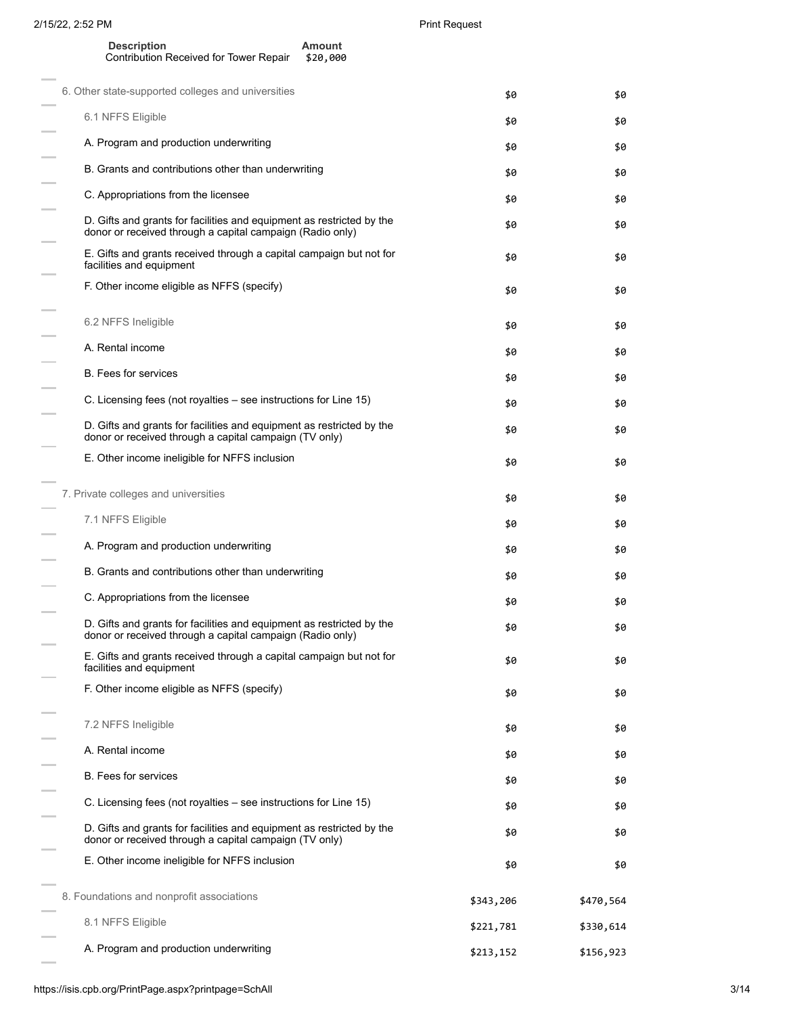$\overline{\phantom{0}}$ 

 $\overline{\phantom{m}}$  $\frac{1}{2}$ 

 $\frac{1}{2}$ 

 $\overline{\phantom{m}}$ 

 $\frac{1}{2}$ 

 $\overline{a}$ 

 $\frac{1}{2}$ 

 $\frac{1}{2}$ 

÷,  $\frac{1}{2}$ 

 $\overline{\phantom{0}}$ 

 $\overline{\phantom{0}}$ 

 $\overline{a}$ 

 $\overline{a}$ 

 $\frac{1}{2}$ 

 $\overline{\phantom{a}}$ 

 $\overline{\phantom{m}}$ 

 $\frac{1}{2}$ 

 $\frac{1}{2}$  $\frac{1}{2}$ 

 $\equiv$ 

 $\overline{a}$ 

 $\frac{1}{2}$ 

 $\sim$ 

| <b>Description</b>                     | Amount   |
|----------------------------------------|----------|
| Contribution Received for Tower Repair | \$20,000 |

| 6. Other state-supported colleges and universities                                                                                 | \$0       | \$0       |
|------------------------------------------------------------------------------------------------------------------------------------|-----------|-----------|
| 6.1 NFFS Eligible                                                                                                                  | \$0       | \$0       |
| A. Program and production underwriting                                                                                             | \$0       | \$0       |
| B. Grants and contributions other than underwriting                                                                                | \$0       | \$0       |
| C. Appropriations from the licensee                                                                                                | \$0       | \$0       |
| D. Gifts and grants for facilities and equipment as restricted by the<br>donor or received through a capital campaign (Radio only) | \$0       | \$0       |
| E. Gifts and grants received through a capital campaign but not for<br>facilities and equipment                                    | \$0       | \$0       |
| F. Other income eligible as NFFS (specify)                                                                                         | \$0       | \$0       |
| 6.2 NFFS Ineligible                                                                                                                | \$0       | \$0       |
| A. Rental income                                                                                                                   | \$0       | \$0       |
| <b>B.</b> Fees for services                                                                                                        | \$0       | \$0       |
| C. Licensing fees (not royalties – see instructions for Line 15)                                                                   | \$0       | \$0       |
| D. Gifts and grants for facilities and equipment as restricted by the<br>donor or received through a capital campaign (TV only)    | \$0       | \$0       |
| E. Other income ineligible for NFFS inclusion                                                                                      | \$0       | \$0       |
| 7. Private colleges and universities                                                                                               | \$0       | \$0       |
| 7.1 NFFS Eligible                                                                                                                  | \$0       | \$0       |
| A. Program and production underwriting                                                                                             | \$0       | \$0       |
| B. Grants and contributions other than underwriting                                                                                | \$0       | \$0       |
| C. Appropriations from the licensee                                                                                                | \$0       | \$0       |
| D. Gifts and grants for facilities and equipment as restricted by the<br>donor or received through a capital campaign (Radio only) | \$0       | \$0       |
| E. Gifts and grants received through a capital campaign but not for<br>facilities and equipment                                    | \$0       | \$0       |
| F. Other income eligible as NFFS (specify)                                                                                         | \$0       | \$0       |
| 7.2 NFFS Ineligible                                                                                                                | \$0       | \$0       |
| A. Rental income                                                                                                                   | \$0       | \$0       |
| B. Fees for services                                                                                                               | \$0       | \$0       |
| C. Licensing fees (not royalties – see instructions for Line 15)                                                                   | \$0       | \$0       |
| D. Gifts and grants for facilities and equipment as restricted by the<br>donor or received through a capital campaign (TV only)    | \$0       | \$0       |
| E. Other income ineligible for NFFS inclusion                                                                                      | \$0       | \$0       |
| 8. Foundations and nonprofit associations                                                                                          | \$343,206 | \$470,564 |
| 8.1 NFFS Eligible                                                                                                                  | \$221,781 | \$330,614 |
| A. Program and production underwriting                                                                                             | \$213,152 | \$156,923 |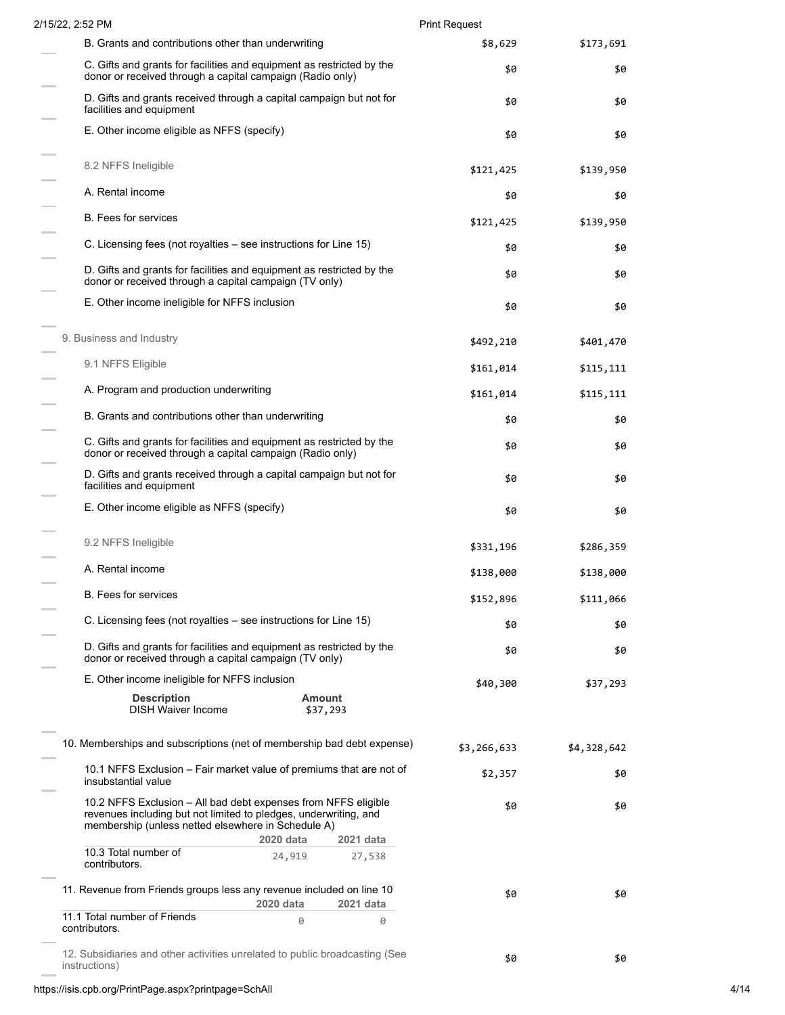| \$8,629     | \$173,691   |
|-------------|-------------|
| \$0         | \$0         |
| \$0         | \$0         |
| \$0         | \$0         |
| \$121,425   | \$139,950   |
| \$0         | \$0         |
| \$121,425   | \$139,950   |
| \$0         | \$0         |
| \$0         | \$0         |
| \$0         | \$0         |
| \$492,210   | \$401,470   |
| \$161,014   | \$115,111   |
| \$161,014   | \$115,111   |
| \$0         | \$0         |
| \$0         | \$0         |
| \$0         | \$0         |
| \$0         | \$0         |
| \$331,196   | \$286,359   |
| \$138,000   | \$138,000   |
| \$152,896   | \$111,066   |
| \$0         | \$0         |
| \$0         | \$0         |
| \$40,300    | \$37,293    |
|             |             |
| \$3,266,633 | \$4,328,642 |
| \$2,357     | \$0         |
| \$0         | \$0         |
|             |             |
| \$0         | \$0         |
|             |             |
|             |             |
|             |             |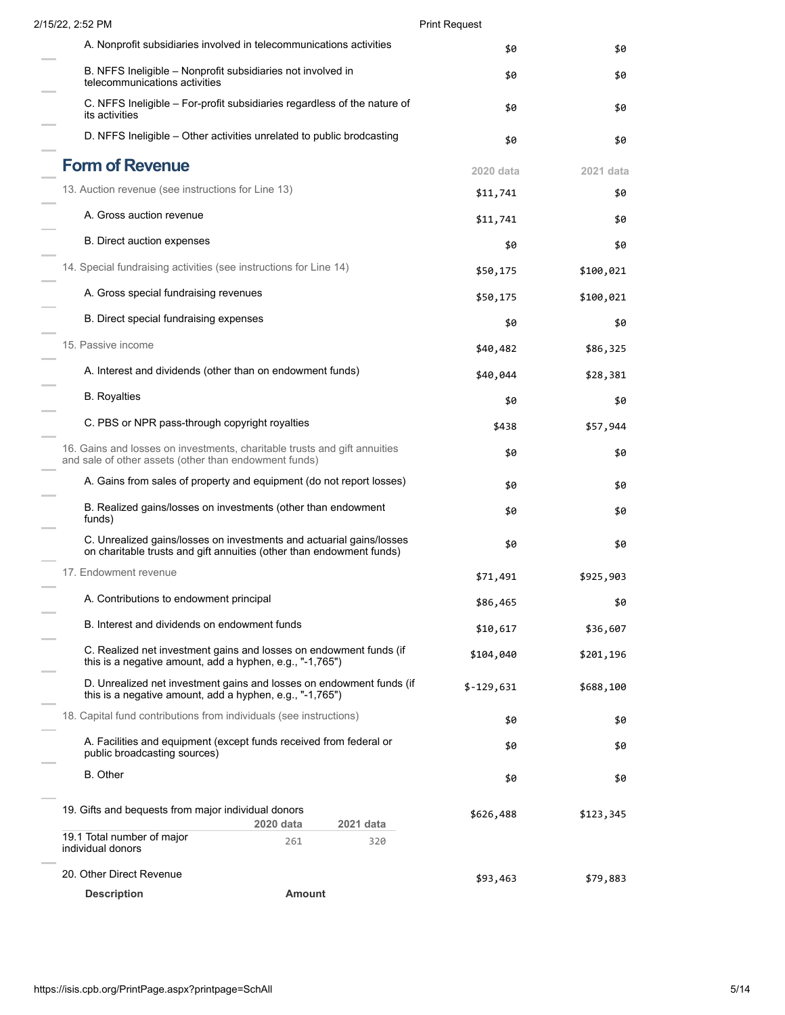| 2/15/22, 2:52 PM                                                                             |                                                                                                                                              | <b>Print Request</b> |           |
|----------------------------------------------------------------------------------------------|----------------------------------------------------------------------------------------------------------------------------------------------|----------------------|-----------|
|                                                                                              | A. Nonprofit subsidiaries involved in telecommunications activities                                                                          | \$0                  | \$0       |
| B. NFFS Ineligible – Nonprofit subsidiaries not involved in<br>telecommunications activities |                                                                                                                                              | \$0                  | \$0       |
| its activities                                                                               | C. NFFS Ineligible - For-profit subsidiaries regardless of the nature of                                                                     | \$0                  | \$0       |
|                                                                                              | D. NFFS Ineligible – Other activities unrelated to public brodcasting                                                                        | \$0                  | \$0       |
| <b>Form of Revenue</b>                                                                       |                                                                                                                                              | 2020 data            | 2021 data |
| 13. Auction revenue (see instructions for Line 13)                                           |                                                                                                                                              | \$11,741             | \$0       |
| A. Gross auction revenue                                                                     |                                                                                                                                              | \$11,741             | \$0       |
| <b>B.</b> Direct auction expenses                                                            |                                                                                                                                              | \$0                  | \$0       |
| 14. Special fundraising activities (see instructions for Line 14)                            |                                                                                                                                              | \$50,175             | \$100,021 |
| A. Gross special fundraising revenues                                                        |                                                                                                                                              | \$50,175             | \$100,021 |
| B. Direct special fundraising expenses                                                       |                                                                                                                                              | \$0                  | \$0       |
| 15. Passive income                                                                           |                                                                                                                                              | \$40,482             | \$86,325  |
| A. Interest and dividends (other than on endowment funds)                                    |                                                                                                                                              | \$40,044             | \$28,381  |
| <b>B.</b> Royalties                                                                          |                                                                                                                                              | \$0                  | \$0       |
| C. PBS or NPR pass-through copyright royalties                                               |                                                                                                                                              | \$438                | \$57,944  |
| and sale of other assets (other than endowment funds)                                        | 16. Gains and losses on investments, charitable trusts and gift annuities                                                                    | \$0                  | \$0       |
|                                                                                              | A. Gains from sales of property and equipment (do not report losses)                                                                         | \$0                  | \$0       |
| funds)                                                                                       | B. Realized gains/losses on investments (other than endowment                                                                                | \$0                  | \$0       |
|                                                                                              | C. Unrealized gains/losses on investments and actuarial gains/losses<br>on charitable trusts and gift annuities (other than endowment funds) | \$0                  | \$0       |
| 17. Endowment revenue                                                                        |                                                                                                                                              | \$71,491             | \$925,903 |
| A. Contributions to endowment principal                                                      |                                                                                                                                              | \$86,465             | \$0       |
| B. Interest and dividends on endowment funds                                                 |                                                                                                                                              | \$10,617             | \$36,607  |
| this is a negative amount, add a hyphen, e.g., "-1,765")                                     | C. Realized net investment gains and losses on endowment funds (if                                                                           | \$104,040            | \$201,196 |
| this is a negative amount, add a hyphen, e.g., "-1,765")                                     | D. Unrealized net investment gains and losses on endowment funds (if                                                                         | $$-129,631$          | \$688,100 |
| 18. Capital fund contributions from individuals (see instructions)                           |                                                                                                                                              | \$0                  | \$0       |
| public broadcasting sources)                                                                 | A. Facilities and equipment (except funds received from federal or                                                                           | \$0                  | \$0       |
| <b>B.</b> Other                                                                              |                                                                                                                                              | \$0                  | \$0       |
| 19. Gifts and bequests from major individual donors                                          | 2020 data<br>2021 data                                                                                                                       | \$626,488            | \$123,345 |
| 19.1 Total number of major<br>individual donors                                              | 261<br>320                                                                                                                                   |                      |           |
| 20. Other Direct Revenue                                                                     |                                                                                                                                              | \$93,463             | \$79,883  |
| <b>Description</b>                                                                           | <b>Amount</b>                                                                                                                                |                      |           |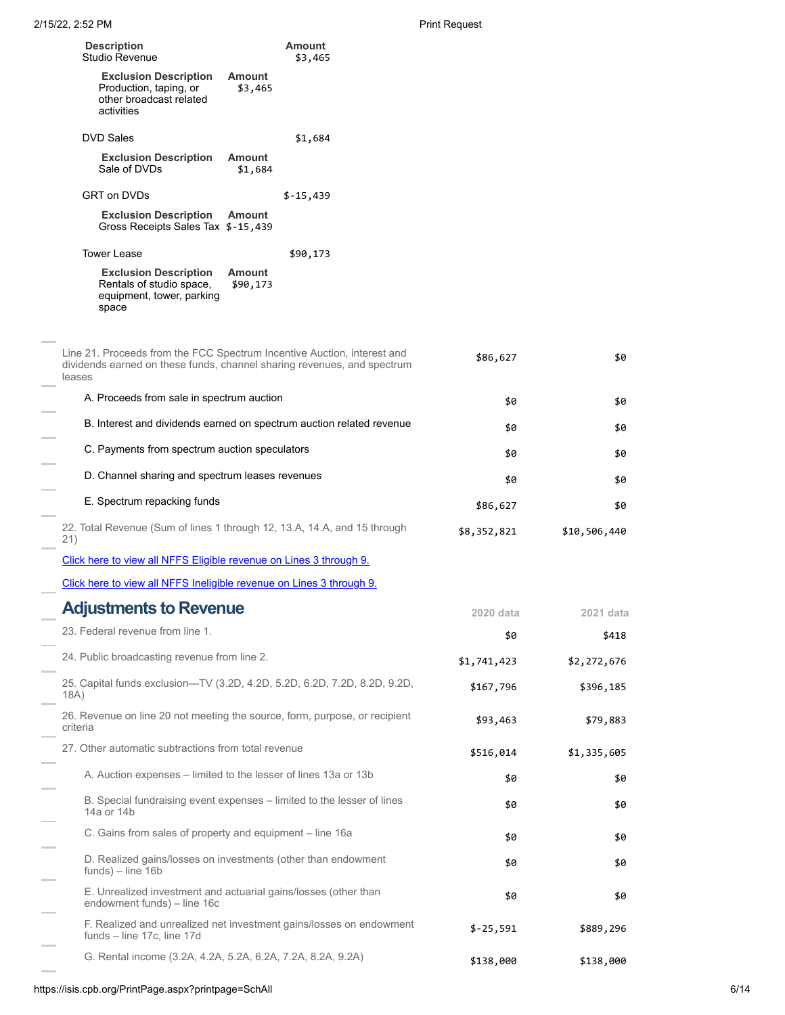|     | <b>Description</b><br>Studio Revenue                                                                                                                         |                           | <b>Amount</b><br>\$3,465 |             |              |
|-----|--------------------------------------------------------------------------------------------------------------------------------------------------------------|---------------------------|--------------------------|-------------|--------------|
|     | <b>Exclusion Description</b><br>Production, taping, or<br>other broadcast related<br>activities                                                              | <b>Amount</b><br>\$3,465  |                          |             |              |
|     | <b>DVD Sales</b>                                                                                                                                             |                           | \$1,684                  |             |              |
|     | <b>Exclusion Description</b><br>Sale of DVDs                                                                                                                 | <b>Amount</b><br>\$1,684  |                          |             |              |
|     | GRT on DVDs                                                                                                                                                  |                           | $$-15,439$               |             |              |
|     | <b>Exclusion Description</b><br>Gross Receipts Sales Tax \$-15,439                                                                                           | <b>Amount</b>             |                          |             |              |
|     | <b>Tower Lease</b>                                                                                                                                           |                           | \$90,173                 |             |              |
|     | <b>Exclusion Description</b><br>Rentals of studio space,<br>equipment, tower, parking<br>space                                                               | <b>Amount</b><br>\$90,173 |                          |             |              |
|     | Line 21. Proceeds from the FCC Spectrum Incentive Auction, interest and<br>dividends earned on these funds, channel sharing revenues, and spectrum<br>leases |                           |                          | \$86,627    | \$0          |
|     | A. Proceeds from sale in spectrum auction                                                                                                                    |                           |                          | \$0         | \$0          |
|     | B. Interest and dividends earned on spectrum auction related revenue                                                                                         |                           |                          | \$0         | \$0          |
|     | C. Payments from spectrum auction speculators                                                                                                                |                           |                          | \$0         | \$0          |
|     | D. Channel sharing and spectrum leases revenues                                                                                                              |                           |                          | \$0         | \$0          |
|     | E. Spectrum repacking funds                                                                                                                                  |                           |                          | \$86,627    | \$0          |
| 21) | 22. Total Revenue (Sum of lines 1 through 12, 13.A, 14.A, and 15 through                                                                                     |                           |                          | \$8,352,821 | \$10,506,440 |
|     | Click here to view all NFFS Eligible revenue on Lines 3 through 9.                                                                                           |                           |                          |             |              |
|     | Click here to view all NFFS Ineligible revenue on Lines 3 through 9.                                                                                         |                           |                          |             |              |
|     | <b>Adjustments to Revenue</b>                                                                                                                                |                           |                          | 2020 data   | 2021 data    |
|     | 23. Federal revenue from line 1.                                                                                                                             |                           |                          | \$0         | \$418        |
|     | 24. Public broadcasting revenue from line 2.                                                                                                                 |                           |                          | \$1,741,423 | \$2,272,676  |
|     | 25. Capital funds exclusion—TV (3.2D, 4.2D, 5.2D, 6.2D, 7.2D, 8.2D, 9.2D,<br>18A)                                                                            |                           |                          | \$167,796   | \$396,185    |
|     | 26. Revenue on line 20 not meeting the source, form, purpose, or recipient<br>criteria                                                                       |                           |                          | \$93,463    | \$79,883     |
|     | 27. Other automatic subtractions from total revenue                                                                                                          |                           |                          | \$516,014   | \$1,335,605  |
|     | A. Auction expenses – limited to the lesser of lines 13a or 13b                                                                                              |                           |                          | \$0         | \$0          |
|     | B. Special fundraising event expenses – limited to the lesser of lines<br>14a or 14b                                                                         |                           |                          | \$0         | \$0          |
|     | C. Gains from sales of property and equipment – line 16a                                                                                                     |                           |                          | \$0         | \$0          |
|     | D. Realized gains/losses on investments (other than endowment<br>$funds$ ) – line $16b$                                                                      |                           |                          | \$0         | \$0          |
|     | E. Unrealized investment and actuarial gains/losses (other than<br>endowment funds) – line 16c                                                               |                           |                          | \$0         | \$0          |
|     | F. Realized and unrealized net investment gains/losses on endowment<br>funds – line 17c, line 17d                                                            |                           |                          | $$-25,591$  | \$889,296    |
|     | G. Rental income (3.2A, 4.2A, 5.2A, 6.2A, 7.2A, 8.2A, 9.2A)                                                                                                  |                           |                          | \$138,000   | \$138,000    |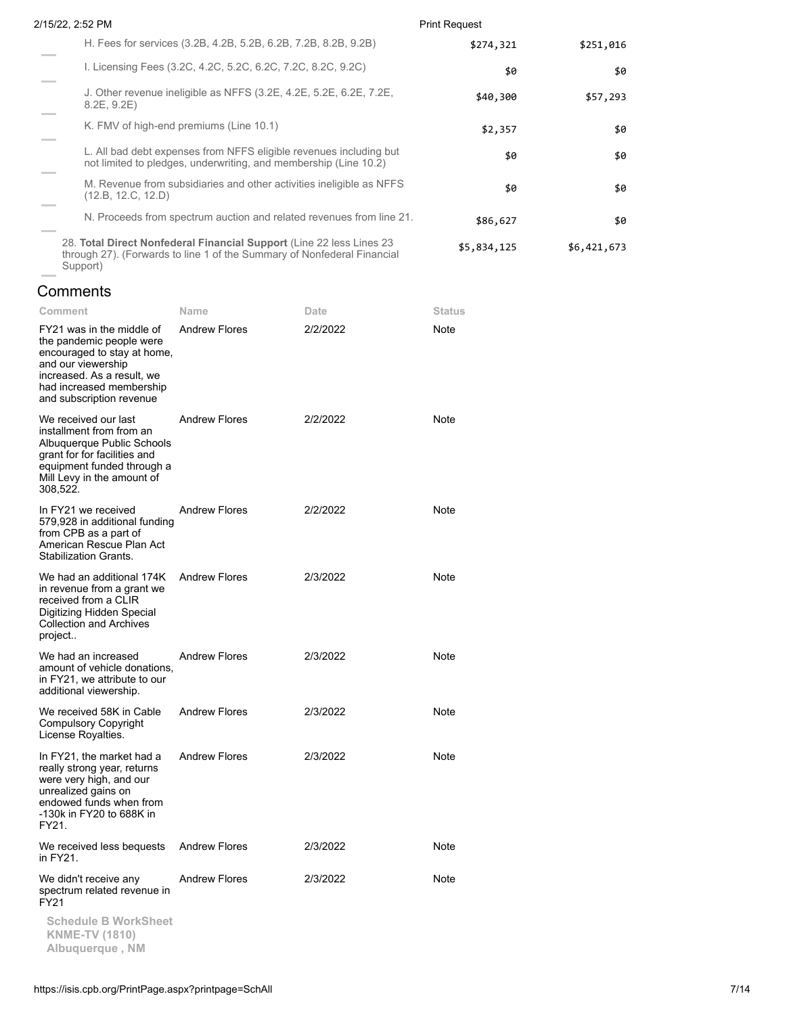| 2/15/22, 2:52 PM                                                                                                                                | <b>Print Request</b> |             |
|-------------------------------------------------------------------------------------------------------------------------------------------------|----------------------|-------------|
| H. Fees for services (3.2B, 4.2B, 5.2B, 6.2B, 7.2B, 8.2B, 9.2B)                                                                                 | \$274,321            | \$251,016   |
| I. Licensing Fees (3.2C, 4.2C, 5.2C, 6.2C, 7.2C, 8.2C, 9.2C)                                                                                    | \$0                  | \$0         |
| J. Other revenue ineligible as NFFS (3.2E, 4.2E, 5.2E, 6.2E, 7.2E,<br>8.2E, 9.2E)                                                               | \$40,300             | \$57,293    |
| K. FMV of high-end premiums (Line 10.1)                                                                                                         | \$2,357              | \$0         |
| L. All bad debt expenses from NFFS eligible revenues including but<br>not limited to pledges, underwriting, and membership (Line 10.2)          | \$0                  | \$0         |
| M. Revenue from subsidiaries and other activities ineligible as NFFS<br>(12.B. 12.C. 12.D)                                                      | \$0                  | \$0         |
| N. Proceeds from spectrum auction and related revenues from line 21.                                                                            | \$86,627             | \$0         |
| 28. Total Direct Nonfederal Financial Support (Line 22 less Lines 23<br>through 27). (Forwards to line 1 of the Summary of Nonfederal Financial | \$5,834,125          | \$6,421,673 |

**Comments** 

Support)

| Comment                                                                                                                                                                                          | Name                 | Date     | Status |
|--------------------------------------------------------------------------------------------------------------------------------------------------------------------------------------------------|----------------------|----------|--------|
| FY21 was in the middle of<br>the pandemic people were<br>encouraged to stay at home,<br>and our viewership<br>increased. As a result, we<br>had increased membership<br>and subscription revenue | <b>Andrew Flores</b> | 2/2/2022 | Note   |
| We received our last<br>installment from from an<br>Albuquerque Public Schools<br>grant for for facilities and<br>equipment funded through a<br>Mill Levy in the amount of<br>308,522.           | <b>Andrew Flores</b> | 2/2/2022 | Note   |
| In FY21 we received<br>579,928 in additional funding<br>from CPB as a part of<br>American Rescue Plan Act<br><b>Stabilization Grants.</b>                                                        | <b>Andrew Flores</b> | 2/2/2022 | Note   |
| We had an additional 174K<br>in revenue from a grant we<br>received from a CLIR<br>Digitizing Hidden Special<br><b>Collection and Archives</b><br>project                                        | <b>Andrew Flores</b> | 2/3/2022 | Note   |
| We had an increased<br>amount of vehicle donations,<br>in FY21, we attribute to our<br>additional viewership.                                                                                    | <b>Andrew Flores</b> | 2/3/2022 | Note   |
| We received 58K in Cable<br><b>Compulsory Copyright</b><br>License Royalties.                                                                                                                    | <b>Andrew Flores</b> | 2/3/2022 | Note   |
| In FY21, the market had a<br>really strong year, returns<br>were very high, and our<br>unrealized gains on<br>endowed funds when from<br>-130k in FY20 to 688K in<br>FY21.                       | <b>Andrew Flores</b> | 2/3/2022 | Note   |
| We received less bequests<br>in FY21.                                                                                                                                                            | <b>Andrew Flores</b> | 2/3/2022 | Note   |
| We didn't receive any<br>spectrum related revenue in<br>FY21                                                                                                                                     | <b>Andrew Flores</b> | 2/3/2022 | Note   |
| <b>Schedule B WorkSheet</b><br><b>KNME-TV (1810)</b><br>Albuquerque, NM                                                                                                                          |                      |          |        |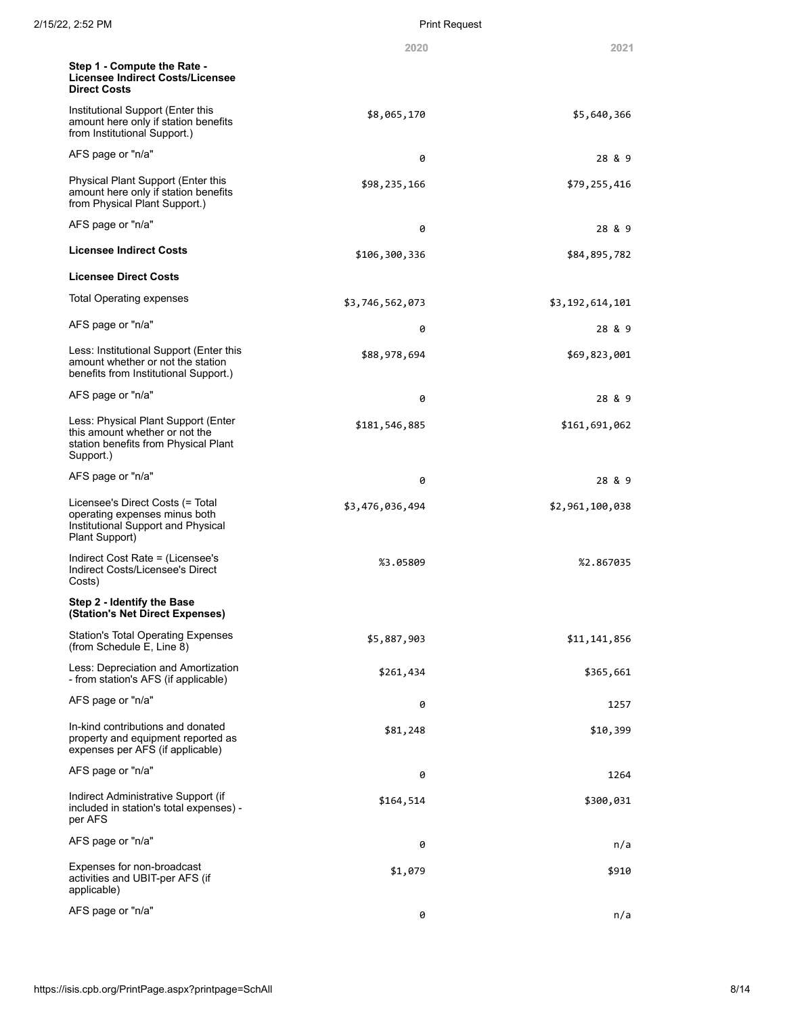|                                                                                                                            | 2020            | 2021            |
|----------------------------------------------------------------------------------------------------------------------------|-----------------|-----------------|
| Step 1 - Compute the Rate -<br>Licensee Indirect Costs/Licensee<br><b>Direct Costs</b>                                     |                 |                 |
| Institutional Support (Enter this<br>amount here only if station benefits<br>from Institutional Support.)                  | \$8,065,170     | \$5,640,366     |
| AFS page or "n/a"                                                                                                          | 0               | 28 & 9          |
| Physical Plant Support (Enter this<br>amount here only if station benefits<br>from Physical Plant Support.)                | \$98,235,166    | \$79,255,416    |
| AFS page or "n/a"                                                                                                          | 0               | 28 & 9          |
| <b>Licensee Indirect Costs</b>                                                                                             | \$106,300,336   | \$84,895,782    |
| <b>Licensee Direct Costs</b>                                                                                               |                 |                 |
| <b>Total Operating expenses</b>                                                                                            | \$3,746,562,073 | \$3,192,614,101 |
| AFS page or "n/a"                                                                                                          | 0               | 28 & 9          |
| Less: Institutional Support (Enter this<br>amount whether or not the station<br>benefits from Institutional Support.)      | \$88,978,694    | \$69,823,001    |
| AFS page or "n/a"                                                                                                          | 0               | 28 & 9          |
| Less: Physical Plant Support (Enter<br>this amount whether or not the<br>station benefits from Physical Plant<br>Support.) | \$181,546,885   | \$161,691,062   |
| AFS page or "n/a"                                                                                                          | 0               | 28 & 9          |
| Licensee's Direct Costs (= Total<br>operating expenses minus both<br>Institutional Support and Physical<br>Plant Support)  | \$3,476,036,494 | \$2,961,100,038 |
| Indirect Cost Rate = (Licensee's<br>Indirect Costs/Licensee's Direct<br>Costs)                                             | %3.05809        | %2.867035       |
| Step 2 - Identify the Base<br>(Station's Net Direct Expenses)                                                              |                 |                 |
| Station's Total Operating Expenses<br>(from Schedule E, Line 8)                                                            | \$5,887,903     | \$11,141,856    |
| Less: Depreciation and Amortization<br>- from station's AFS (if applicable)                                                | \$261,434       | \$365,661       |
| AFS page or "n/a"                                                                                                          | 0               | 1257            |
| In-kind contributions and donated<br>property and equipment reported as<br>expenses per AFS (if applicable)                | \$81,248        | \$10,399        |
| AFS page or "n/a"                                                                                                          | 0               | 1264            |
| Indirect Administrative Support (if<br>included in station's total expenses) -<br>per AFS                                  | \$164,514       | \$300,031       |
| AFS page or "n/a"                                                                                                          | 0               | n/a             |
| Expenses for non-broadcast<br>activities and UBIT-per AFS (if<br>applicable)                                               | \$1,079         | \$910           |
| AFS page or "n/a"                                                                                                          | 0               | n/a             |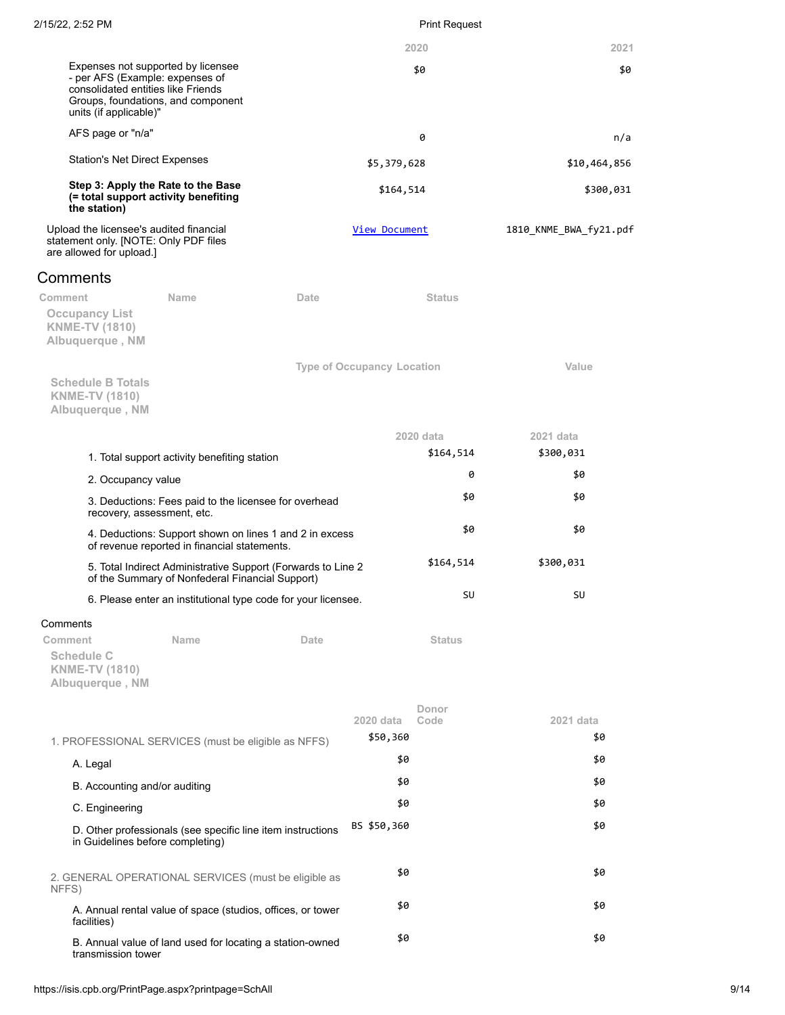| 2/15/22, 2:52 PM |  |
|------------------|--|
|                  |  |

# Print Request

|                                                                                                                                                                             |      |                                   | 2020          | 2021                   |
|-----------------------------------------------------------------------------------------------------------------------------------------------------------------------------|------|-----------------------------------|---------------|------------------------|
| Expenses not supported by licensee<br>- per AFS (Example: expenses of<br>consolidated entities like Friends<br>Groups, foundations, and component<br>units (if applicable)" |      |                                   | \$0           | \$0                    |
| AFS page or "n/a"                                                                                                                                                           |      |                                   | 0             | n/a                    |
| <b>Station's Net Direct Expenses</b>                                                                                                                                        |      | \$5,379,628                       |               | \$10,464,856           |
| Step 3: Apply the Rate to the Base<br>(= total support activity benefiting<br>the station)                                                                                  |      | \$164,514                         |               | \$300,031              |
| Upload the licensee's audited financial<br>statement only. [NOTE: Only PDF files<br>are allowed for upload.]                                                                |      | <b>View Document</b>              |               | 1810 KNME BWA fy21.pdf |
| Comments                                                                                                                                                                    |      |                                   |               |                        |
| <b>Name</b><br>Comment<br><b>Occupancy List</b><br><b>KNME-TV (1810)</b><br>Albuquerque, NM                                                                                 | Date |                                   | <b>Status</b> |                        |
| <b>Schedule B Totals</b><br><b>KNME-TV (1810)</b><br>Albuquerque, NM                                                                                                        |      | <b>Type of Occupancy Location</b> |               | Value                  |
|                                                                                                                                                                             |      |                                   | 2020 data     | 2021 data              |
| 1. Total support activity benefiting station                                                                                                                                |      |                                   | \$164,514     | \$300,031              |
| 2. Occupancy value                                                                                                                                                          |      |                                   | 0             | \$0                    |
| 3. Deductions: Fees paid to the licensee for overhead<br>recovery, assessment, etc.                                                                                         |      |                                   | \$0           | \$0                    |
| 4. Deductions: Support shown on lines 1 and 2 in excess<br>of revenue reported in financial statements.                                                                     |      |                                   | \$0           | \$0                    |
| 5. Total Indirect Administrative Support (Forwards to Line 2<br>of the Summary of Nonfederal Financial Support)                                                             |      |                                   | \$164,514     | \$300,031              |
| 6. Please enter an institutional type code for your licensee.                                                                                                               |      |                                   | SU            | SU                     |
| Comments                                                                                                                                                                    |      |                                   |               |                        |
| Comment<br><b>Name</b><br><b>Schedule C</b><br><b>KNME-TV (1810)</b><br>Albuquerque, NM                                                                                     | Date |                                   | <b>Status</b> |                        |
|                                                                                                                                                                             |      | 2020 data                         | Donor<br>Code | $2021$ data            |
| 1. PROFESSIONAL SERVICES (must be eligible as NFFS)                                                                                                                         |      | \$50,360                          |               | \$0                    |
| A. Legal                                                                                                                                                                    |      | \$0                               |               | \$0                    |
| B. Accounting and/or auditing                                                                                                                                               |      | \$0                               |               | \$0                    |
| C. Engineering                                                                                                                                                              |      | \$0                               |               | \$0                    |
| D. Other professionals (see specific line item instructions<br>in Guidelines before completing)                                                                             |      | BS \$50,360                       |               | \$0                    |
| 2. GENERAL OPERATIONAL SERVICES (must be eligible as<br>NFFS)                                                                                                               |      | \$0                               |               | \$0                    |
| A. Annual rental value of space (studios, offices, or tower<br>facilities)                                                                                                  |      | \$0                               |               | \$0                    |
| B. Annual value of land used for locating a station-owned<br>transmission tower                                                                                             |      | \$0                               |               | \$0                    |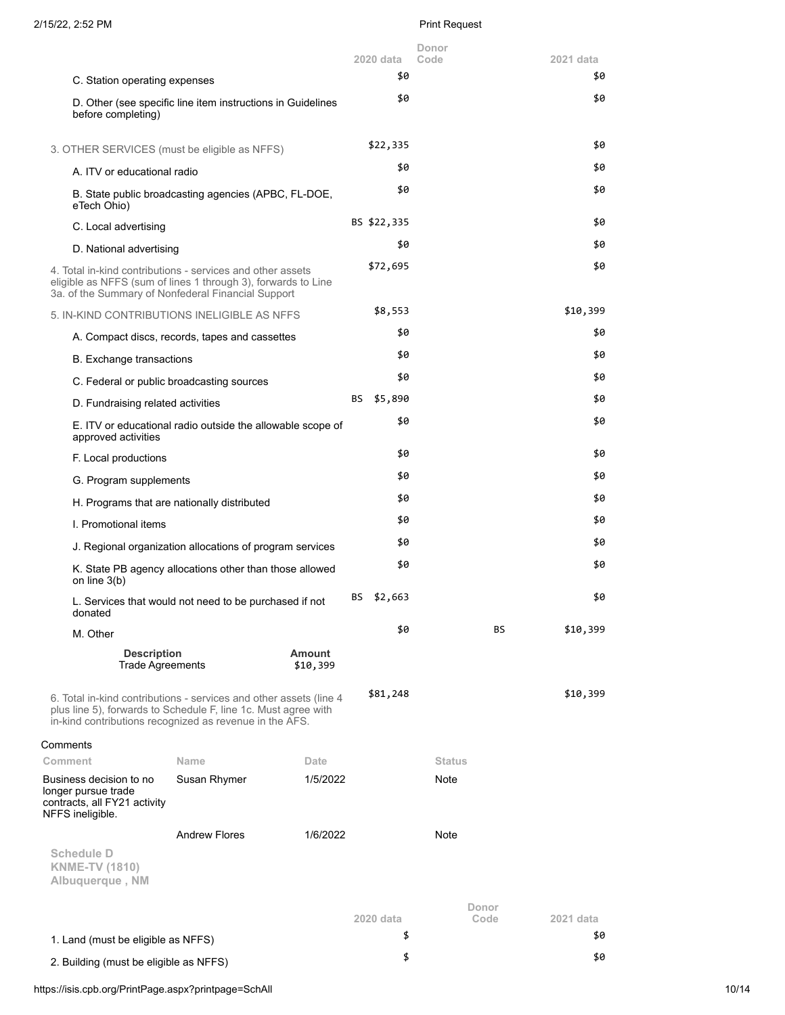|                                                                                                                                                                                                 |                                                             |               |    | 2020 data       | Donor         |       |                  |
|-------------------------------------------------------------------------------------------------------------------------------------------------------------------------------------------------|-------------------------------------------------------------|---------------|----|-----------------|---------------|-------|------------------|
|                                                                                                                                                                                                 |                                                             |               |    | \$0             | Code          |       | 2021 data<br>\$0 |
| C. Station operating expenses                                                                                                                                                                   |                                                             |               |    | \$0             |               |       | \$0              |
| before completing)                                                                                                                                                                              | D. Other (see specific line item instructions in Guidelines |               |    |                 |               |       |                  |
| 3. OTHER SERVICES (must be eligible as NFFS)                                                                                                                                                    |                                                             |               |    | \$22,335        |               |       | \$0              |
| A. ITV or educational radio                                                                                                                                                                     |                                                             |               |    | \$0             |               |       | \$0              |
| eTech Ohio)                                                                                                                                                                                     | B. State public broadcasting agencies (APBC, FL-DOE,        |               |    | \$0             |               |       | \$0              |
| C. Local advertising                                                                                                                                                                            |                                                             |               |    | BS \$22,335     |               |       | \$0              |
| D. National advertising                                                                                                                                                                         |                                                             |               |    | \$0             |               |       | \$0              |
| 4. Total in-kind contributions - services and other assets<br>eligible as NFFS (sum of lines 1 through 3), forwards to Line<br>3a. of the Summary of Nonfederal Financial Support               |                                                             |               |    | \$72,695        |               |       | \$0              |
| 5. IN-KIND CONTRIBUTIONS INELIGIBLE AS NFFS                                                                                                                                                     |                                                             |               |    | \$8,553         |               |       | \$10,399         |
|                                                                                                                                                                                                 | A. Compact discs, records, tapes and cassettes              |               |    | \$0             |               |       | \$0              |
| <b>B.</b> Exchange transactions                                                                                                                                                                 |                                                             |               |    | \$0             |               |       | \$0              |
| C. Federal or public broadcasting sources                                                                                                                                                       |                                                             |               |    | \$0             |               |       | \$0              |
| D. Fundraising related activities                                                                                                                                                               |                                                             |               | BS | \$5,890         |               |       | \$0              |
| approved activities                                                                                                                                                                             | E. ITV or educational radio outside the allowable scope of  |               |    | \$0             |               |       | \$0              |
| F. Local productions                                                                                                                                                                            |                                                             |               |    | \$0             |               |       | \$0              |
| G. Program supplements                                                                                                                                                                          |                                                             |               |    | \$0             |               |       | \$0              |
| H. Programs that are nationally distributed                                                                                                                                                     |                                                             |               |    | \$0             |               |       | \$0              |
| I. Promotional items                                                                                                                                                                            |                                                             |               |    | \$0             |               |       | \$0              |
|                                                                                                                                                                                                 |                                                             |               |    | \$0             |               |       | \$0              |
|                                                                                                                                                                                                 | J. Regional organization allocations of program services    |               |    | \$0             |               |       | \$0              |
| on line 3(b)                                                                                                                                                                                    | K. State PB agency allocations other than those allowed     |               |    |                 |               |       |                  |
| donated                                                                                                                                                                                         | L. Services that would not need to be purchased if not      |               | BS | \$2,663         |               |       | \$0              |
| M. Other                                                                                                                                                                                        |                                                             |               |    | \$0             |               | BS    | \$10,399         |
| <b>Description</b>                                                                                                                                                                              |                                                             | <b>Amount</b> |    |                 |               |       |                  |
| <b>Trade Agreements</b>                                                                                                                                                                         |                                                             | \$10,399      |    |                 |               |       |                  |
| 6. Total in-kind contributions - services and other assets (line 4<br>plus line 5), forwards to Schedule F, line 1c. Must agree with<br>in-kind contributions recognized as revenue in the AFS. |                                                             |               |    | \$81,248        |               |       | \$10,399         |
| Comments                                                                                                                                                                                        |                                                             |               |    |                 |               |       |                  |
| Comment                                                                                                                                                                                         | Name                                                        | Date          |    |                 | <b>Status</b> |       |                  |
| Business decision to no<br>longer pursue trade<br>contracts, all FY21 activity<br>NFFS ineligible.                                                                                              | Susan Rhymer                                                | 1/5/2022      |    |                 | Note          |       |                  |
|                                                                                                                                                                                                 | <b>Andrew Flores</b>                                        | 1/6/2022      |    |                 | Note          |       |                  |
| <b>Schedule D</b><br><b>KNME-TV (1810)</b><br>Albuquerque, NM                                                                                                                                   |                                                             |               |    |                 |               |       |                  |
|                                                                                                                                                                                                 |                                                             |               |    |                 |               | Donor |                  |
|                                                                                                                                                                                                 |                                                             |               |    | 2020 data<br>\$ |               | Code  | 2021 data<br>\$0 |
| 1. Land (must be eligible as NFFS)                                                                                                                                                              |                                                             |               |    |                 |               |       |                  |
| 2. Building (must be eligible as NFFS)                                                                                                                                                          |                                                             |               |    | \$              |               |       | \$0              |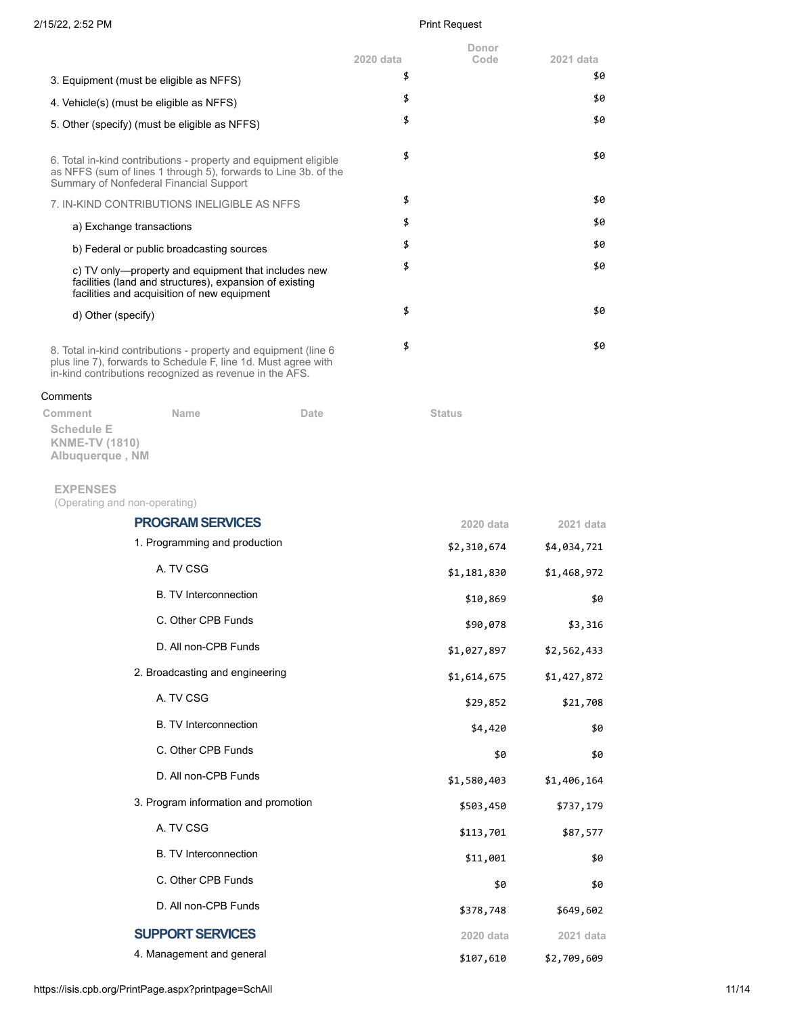|                                                                                                                                                                                               | Donor<br>2020 data | Code<br>2021 data      |
|-----------------------------------------------------------------------------------------------------------------------------------------------------------------------------------------------|--------------------|------------------------|
| 3. Equipment (must be eligible as NFFS)                                                                                                                                                       | \$                 | \$0                    |
| 4. Vehicle(s) (must be eligible as NFFS)                                                                                                                                                      | \$                 | \$0                    |
| 5. Other (specify) (must be eligible as NFFS)                                                                                                                                                 | \$                 | \$0                    |
|                                                                                                                                                                                               |                    |                        |
| 6. Total in-kind contributions - property and equipment eligible<br>as NFFS (sum of lines 1 through 5), forwards to Line 3b. of the<br>Summary of Nonfederal Financial Support                | \$                 | \$0                    |
| 7. IN-KIND CONTRIBUTIONS INELIGIBLE AS NFFS                                                                                                                                                   | \$                 | \$0                    |
| a) Exchange transactions                                                                                                                                                                      | \$                 | \$0                    |
| b) Federal or public broadcasting sources                                                                                                                                                     | \$                 | \$0                    |
| c) TV only-property and equipment that includes new<br>facilities (land and structures), expansion of existing<br>facilities and acquisition of new equipment                                 | \$                 | \$0                    |
| d) Other (specify)                                                                                                                                                                            | \$                 | \$0                    |
|                                                                                                                                                                                               | \$                 | \$0                    |
| 8. Total in-kind contributions - property and equipment (line 6)<br>plus line 7), forwards to Schedule F, line 1d. Must agree with<br>in-kind contributions recognized as revenue in the AFS. |                    |                        |
| Comments                                                                                                                                                                                      |                    |                        |
| Name<br>Comment<br>Date<br><b>Schedule E</b><br><b>KNME-TV (1810)</b><br>Albuquerque, NM                                                                                                      | <b>Status</b>      |                        |
| <b>EXPENSES</b><br>(Operating and non-operating)                                                                                                                                              |                    |                        |
| <b>PROGRAM SERVICES</b>                                                                                                                                                                       |                    | 2020 data<br>2021 data |
| 1. Programming and production                                                                                                                                                                 | \$2,310,674        | \$4,034,721            |
| A. TV CSG                                                                                                                                                                                     | \$1,181,830        | \$1,468,972            |
| <b>B.</b> TV Interconnection                                                                                                                                                                  |                    | \$10,869<br>\$0        |
| C. Other CPB Funds                                                                                                                                                                            |                    | \$90,078<br>\$3,316    |
| D. All non-CPB Funds                                                                                                                                                                          | \$1,027,897        | \$2,562,433            |
| 2. Broadcasting and engineering                                                                                                                                                               | \$1,614,675        | \$1,427,872            |
| A. TV CSG                                                                                                                                                                                     |                    | \$29,852<br>\$21,708   |
| <b>B.</b> TV Interconnection                                                                                                                                                                  |                    | \$4,420<br>\$0         |
| C. Other CPB Funds                                                                                                                                                                            |                    | \$0<br>\$0             |
| D. All non-CPB Funds                                                                                                                                                                          | \$1,580,403        | \$1,406,164            |
| 3. Program information and promotion                                                                                                                                                          | \$503,450          | \$737,179              |
| A. TV CSG                                                                                                                                                                                     | \$113,701          | \$87,577               |
| <b>B.</b> TV Interconnection                                                                                                                                                                  |                    | \$11,001<br>\$0        |
| C. Other CPB Funds                                                                                                                                                                            |                    | \$0<br>\$0             |
| D. All non-CPB Funds                                                                                                                                                                          | \$378,748          | \$649,602              |
| <b>SUPPORT SERVICES</b>                                                                                                                                                                       |                    | 2020 data<br>2021 data |
| 4. Management and general                                                                                                                                                                     | \$107,610          | \$2,709,609            |

https://isis.cpb.org/PrintPage.aspx?printpage=SchAll 11/14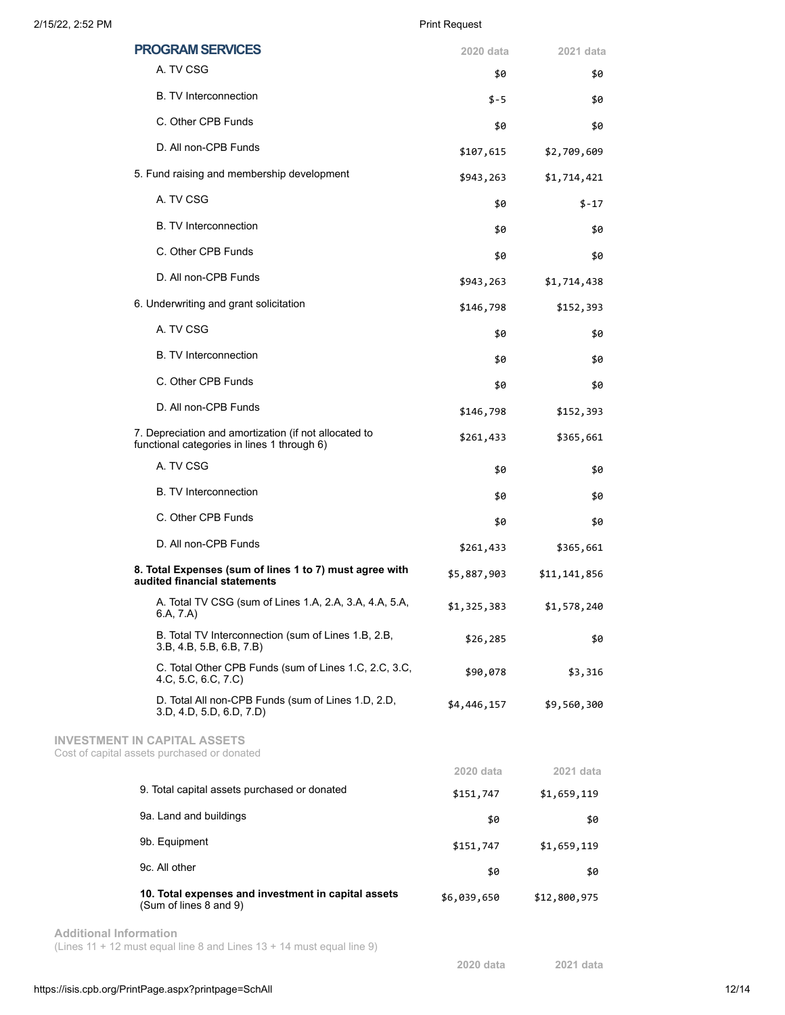| <b>PROGRAM SERVICES</b>                                                                              | 2020 data   | 2021 data    |
|------------------------------------------------------------------------------------------------------|-------------|--------------|
| A. TV CSG                                                                                            | \$0         | \$0          |
| <b>B.</b> TV Interconnection                                                                         | \$-5        | \$0          |
| C. Other CPB Funds                                                                                   | \$0         | \$0          |
| D. All non-CPB Funds                                                                                 | \$107,615   | \$2,709,609  |
| 5. Fund raising and membership development                                                           | \$943,263   | \$1,714,421  |
| A. TV CSG                                                                                            | \$0         | $$-17$       |
| <b>B.</b> TV Interconnection                                                                         | \$0         | \$0          |
| C. Other CPB Funds                                                                                   | \$0         | \$0          |
| D. All non-CPB Funds                                                                                 | \$943,263   | \$1,714,438  |
| 6. Underwriting and grant solicitation                                                               | \$146,798   | \$152,393    |
| A. TV CSG                                                                                            | \$0         | \$0          |
| <b>B.</b> TV Interconnection                                                                         | \$0         | \$0          |
| C. Other CPB Funds                                                                                   | \$0         | \$0          |
| D. All non-CPB Funds                                                                                 | \$146,798   | \$152,393    |
| 7. Depreciation and amortization (if not allocated to<br>functional categories in lines 1 through 6) | \$261,433   | \$365,661    |
| A. TV CSG                                                                                            | \$0         | \$0          |
| <b>B.</b> TV Interconnection                                                                         | \$0         | \$0          |
| C. Other CPB Funds                                                                                   | \$0         | \$0          |
| D. All non-CPB Funds                                                                                 | \$261,433   | \$365,661    |
| 8. Total Expenses (sum of lines 1 to 7) must agree with<br>audited financial statements              | \$5,887,903 | \$11,141,856 |
| A. Total TV CSG (sum of Lines 1.A, 2.A, 3.A, 4.A, 5.A,<br>6.A, 7.A)                                  | \$1,325,383 | \$1,578,240  |
| B. Total TV Interconnection (sum of Lines 1.B, 2.B,<br>3.B, 4.B, 5.B, 6.B, 7.B)                      | \$26,285    | \$0          |
| C. Total Other CPB Funds (sum of Lines 1.C, 2.C, 3.C,<br>4 C, 5 C, 6 C, 7 C)                         | \$90,078    | \$3,316      |
| D. Total All non-CPB Funds (sum of Lines 1.D, 2.D,<br>3.D, 4.D, 5.D, 6.D, 7.D)                       | \$4,446,157 | \$9,560,300  |
| <b>INVESTMENT IN CAPITAL ASSETS</b><br>Cost of capital assets purchased or donated                   |             |              |
|                                                                                                      | 2020 data   | 2021 data    |
| 9. Total capital assets purchased or donated                                                         | \$151,747   | \$1,659,119  |
| 9a. Land and buildings                                                                               | \$0         | \$0          |
| 9b. Equipment                                                                                        | \$151,747   | \$1,659,119  |
| 9c. All other                                                                                        | \$0         | \$0          |
| 10. Total expenses and investment in capital assets<br>(Sum of lines 8 and 9)                        | \$6,039,650 | \$12,800,975 |

**Additional Information** (Lines 11 + 12 must equal line 8 and Lines 13 + 14 must equal line 9)

**2020 data 2021 data**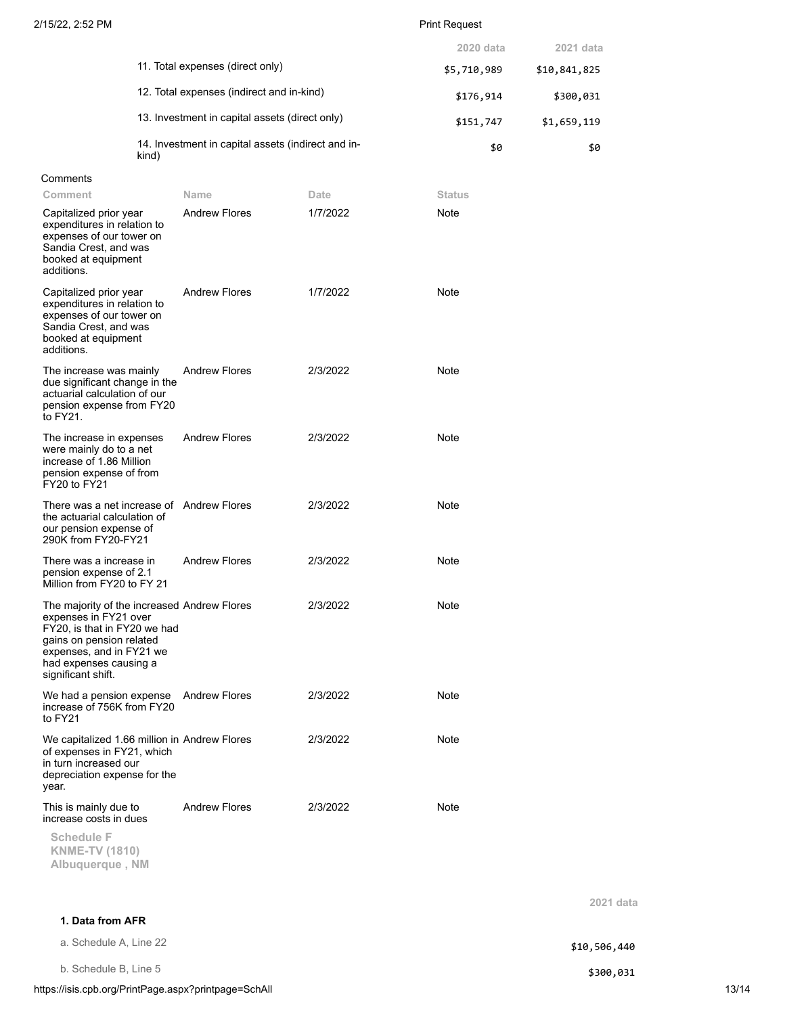|                                                             | 2020 data   | 2021 data    |
|-------------------------------------------------------------|-------------|--------------|
| 11. Total expenses (direct only)                            | \$5,710,989 | \$10,841,825 |
| 12. Total expenses (indirect and in-kind)                   | \$176,914   | \$300,031    |
| 13. Investment in capital assets (direct only)              | \$151,747   | \$1,659,119  |
| 14. Investment in capital assets (indirect and in-<br>kind) | \$0         | \$0          |

# **Comments**

| Comment                                                                                                                                                                                                      | Name                 | Date     | <b>Status</b> |
|--------------------------------------------------------------------------------------------------------------------------------------------------------------------------------------------------------------|----------------------|----------|---------------|
| Capitalized prior year<br>expenditures in relation to<br>expenses of our tower on<br>Sandia Crest, and was<br>booked at equipment<br>additions.                                                              | <b>Andrew Flores</b> | 1/7/2022 | Note          |
| Capitalized prior year<br>expenditures in relation to<br>expenses of our tower on<br>Sandia Crest, and was<br>booked at equipment<br>additions.                                                              | <b>Andrew Flores</b> | 1/7/2022 | Note          |
| The increase was mainly<br>due significant change in the<br>actuarial calculation of our<br>pension expense from FY20<br>to FY21.                                                                            | <b>Andrew Flores</b> | 2/3/2022 | Note          |
| The increase in expenses<br>were mainly do to a net<br>increase of 1.86 Million<br>pension expense of from<br>FY20 to FY21                                                                                   | <b>Andrew Flores</b> | 2/3/2022 | Note          |
| There was a net increase of Andrew Flores<br>the actuarial calculation of<br>our pension expense of<br>290K from FY20-FY21                                                                                   |                      | 2/3/2022 | Note          |
| There was a increase in<br>pension expense of 2.1<br>Million from FY20 to FY 21                                                                                                                              | <b>Andrew Flores</b> | 2/3/2022 | Note          |
| The majority of the increased Andrew Flores<br>expenses in FY21 over<br>FY20, is that in FY20 we had<br>gains on pension related<br>expenses, and in FY21 we<br>had expenses causing a<br>significant shift. |                      | 2/3/2022 | Note          |
| We had a pension expense<br>increase of 756K from FY20<br>to FY21                                                                                                                                            | <b>Andrew Flores</b> | 2/3/2022 | <b>Note</b>   |
| We capitalized 1.66 million in Andrew Flores<br>of expenses in FY21, which<br>in turn increased our<br>depreciation expense for the<br>year.                                                                 |                      | 2/3/2022 | Note          |
| This is mainly due to<br>increase costs in dues<br><b>Schedule F</b><br><b>KNME-TV (1810)</b><br>Albuquerque, NM                                                                                             | <b>Andrew Flores</b> | 2/3/2022 | Note          |

**1. Data from AFR**

a. Schedule A, Line 22  $$10,506,440$ 

b. Schedule B, Line 5 \$300,031

https://isis.cpb.org/PrintPage.aspx?printpage=SchAll 13/14

**2021 data**